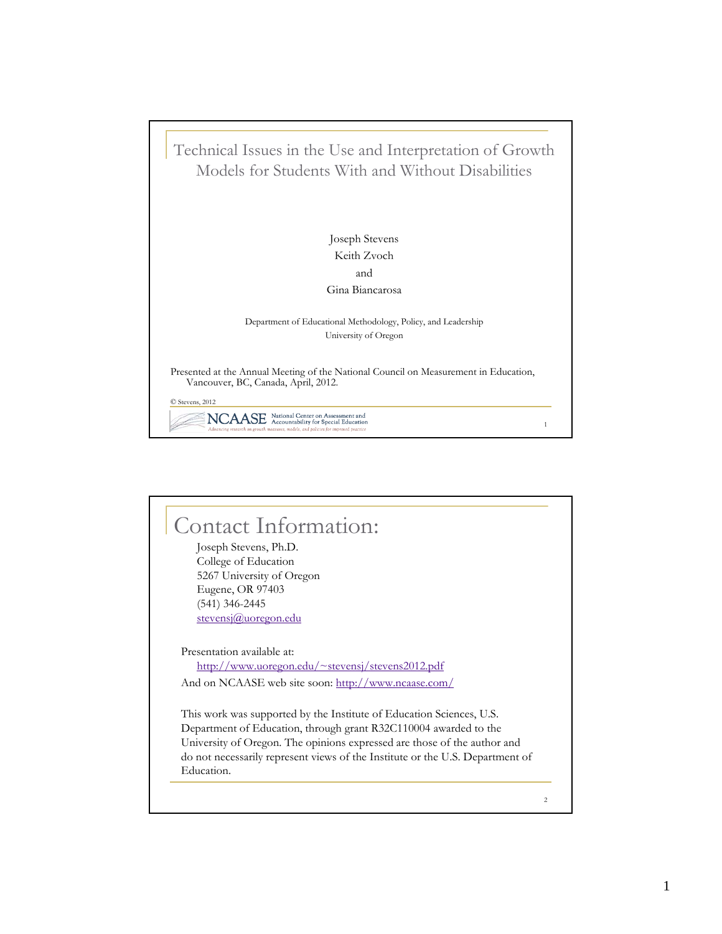

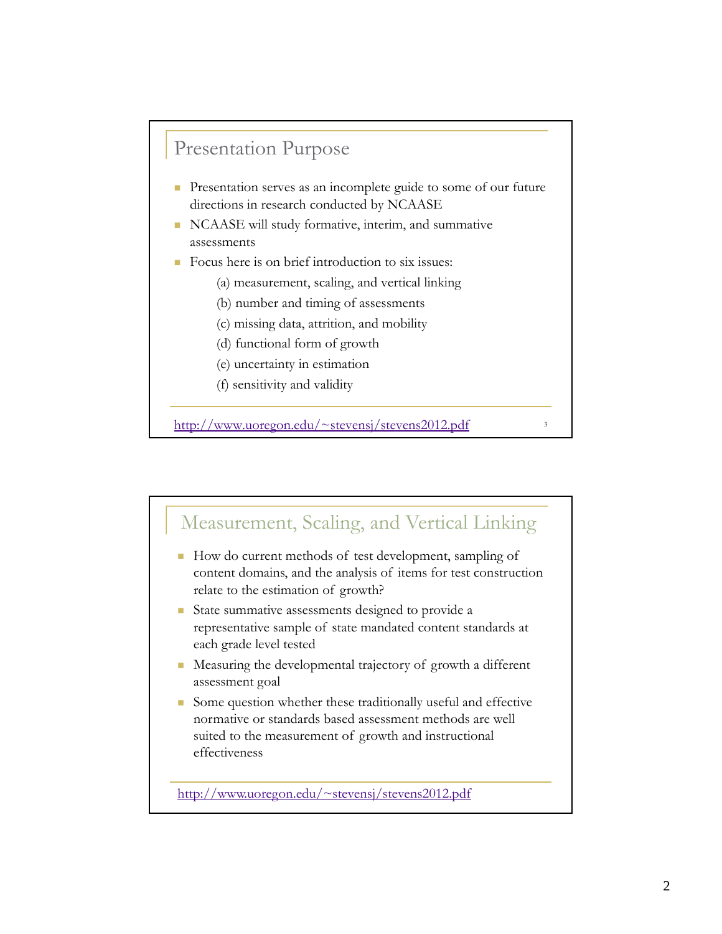### Presentation Purpose

- Presentation serves as an incomplete guide to some of our future directions in research conducted by NCAASE
- NCAASE will study formative, interim, and summative assessments
- $\blacksquare$  Focus here is on brief introduction to six issues:
	- (a) measurement, scaling, and vertical linking
	- (b) number and timing of assessments
	- (c) missing data, attrition, and mobility
	- (d) functional form of growth
	- (e) uncertainty in estimation
	- (f) sensitivity and validity

http://www.uoregon.edu/~stevensj/stevens2012.pdf

Measurement, Scaling, and Vertical Linking How do current methods of test development, sampling of content domains, and the analysis of items for test construction relate to the estimation of growth? ■ State summative assessments designed to provide a representative sample of state mandated content standards at each grade level tested ■ Measuring the developmental trajectory of growth a different assessment goal Some question whether these traditionally useful and effective normative or standards based assessment methods are well suited to the measurement of growth and instructional effectiveness http://www.uoregon.edu/~stevensj/stevens2012.pdf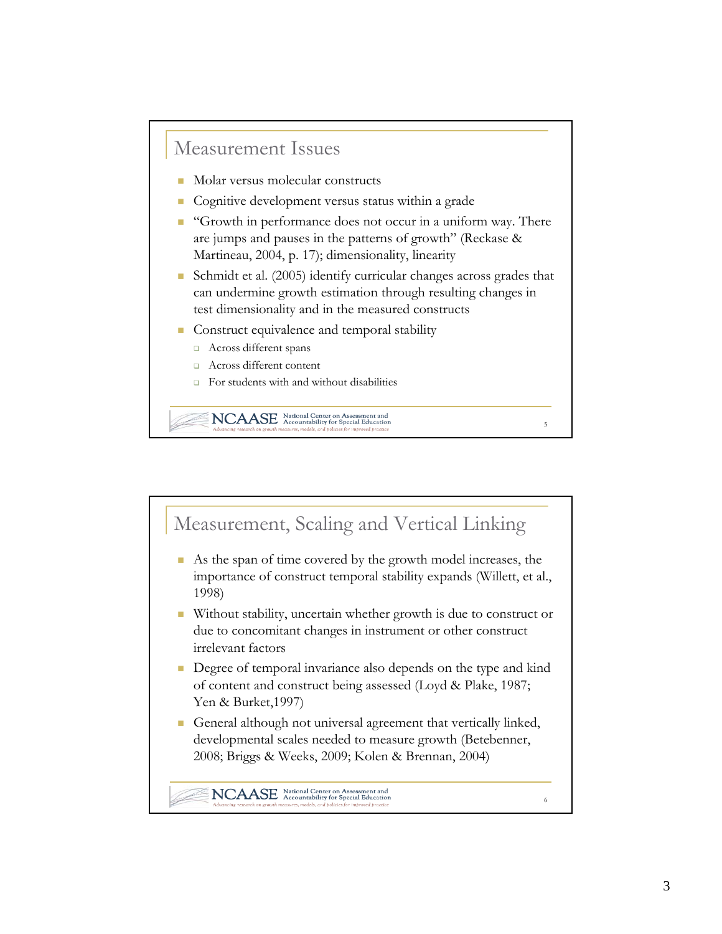#### Measurement Issues

- Molar versus molecular constructs
- Cognitive development versus status within a grade
- **Growth in performance does not occur in a uniform way. There** are jumps and pauses in the patterns of growth" (Reckase & Martineau, 2004, p. 17); dimensionality, linearity
- Schmidt et al. (2005) identify curricular changes across grades that can undermine growth estimation through resulting changes in test dimensionality and in the measured constructs

5

- Construct equivalence and temporal stability
	- Across different spans
	- **Across different content**
	- For students with and without disabilities

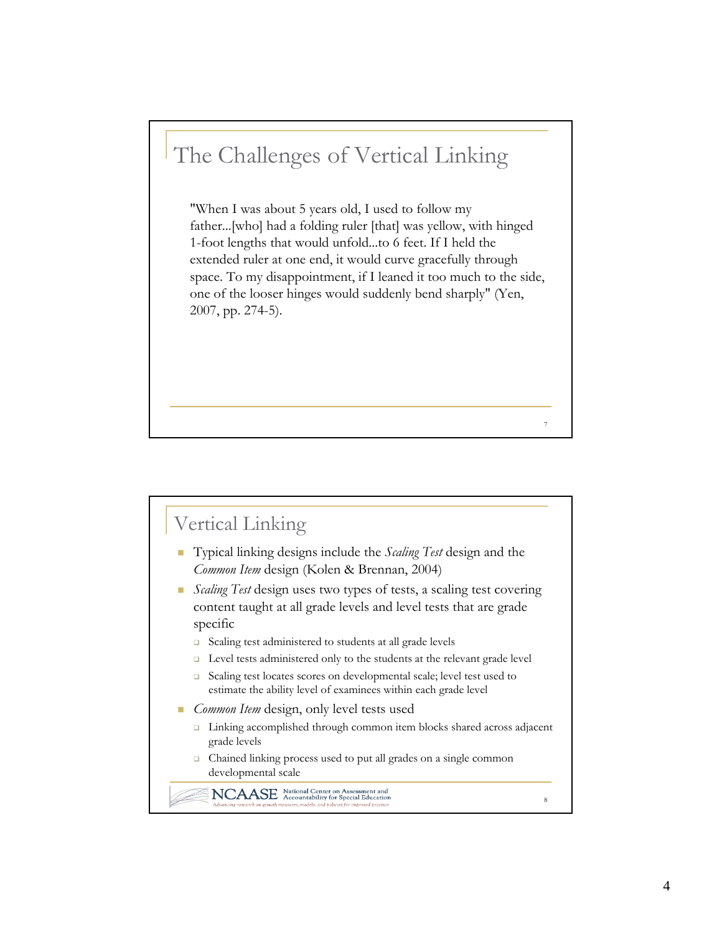# The Challenges of Vertical Linking

"When I was about 5 years old, I used to follow my father...[who] had a folding ruler [that] was yellow, with hinged 1-foot lengths that would unfold...to 6 feet. If I held the extended ruler at one end, it would curve gracefully through space. To my disappointment, if I leaned it too much to the side, one of the looser hinges would suddenly bend sharply" (Yen, 2007, pp. 274-5).

7

8

## Vertical Linking

- Typical linking designs include the *Scaling Test* design and the *Common Item* design (Kolen & Brennan, 2004)
- *Scaling Test* design uses two types of tests, a scaling test covering content taught at all grade levels and level tests that are grade specific
	- □ Scaling test administered to students at all grade levels
	- □ Level tests administered only to the students at the relevant grade level
	- □ Scaling test locates scores on developmental scale; level test used to estimate the ability level of examinees within each grade level
- *Common Item* design, only level tests used
	- □ Linking accomplished through common item blocks shared across adjacent grade levels
	- Chained linking process used to put all grades on a single common developmental scale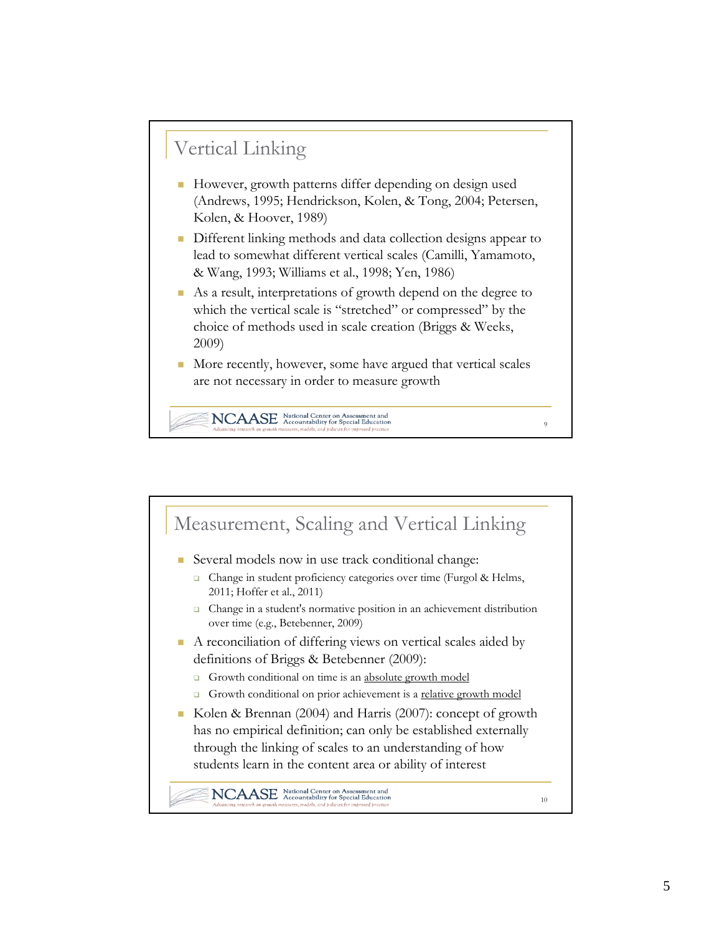## Vertical Linking

- However, growth patterns differ depending on design used (Andrews, 1995; Hendrickson, Kolen, & Tong, 2004; Petersen, Kolen, & Hoover, 1989)
- Different linking methods and data collection designs appear to lead to somewhat different vertical scales (Camilli, Yamamoto, & Wang, 1993; Williams et al., 1998; Yen, 1986)
- As a result, interpretations of growth depend on the degree to which the vertical scale is "stretched" or compressed" by the choice of methods used in scale creation (Briggs & Weeks, 2009)
- More recently, however, some have argued that vertical scales are not necessary in order to measure growth

 $\overline{9}$ 

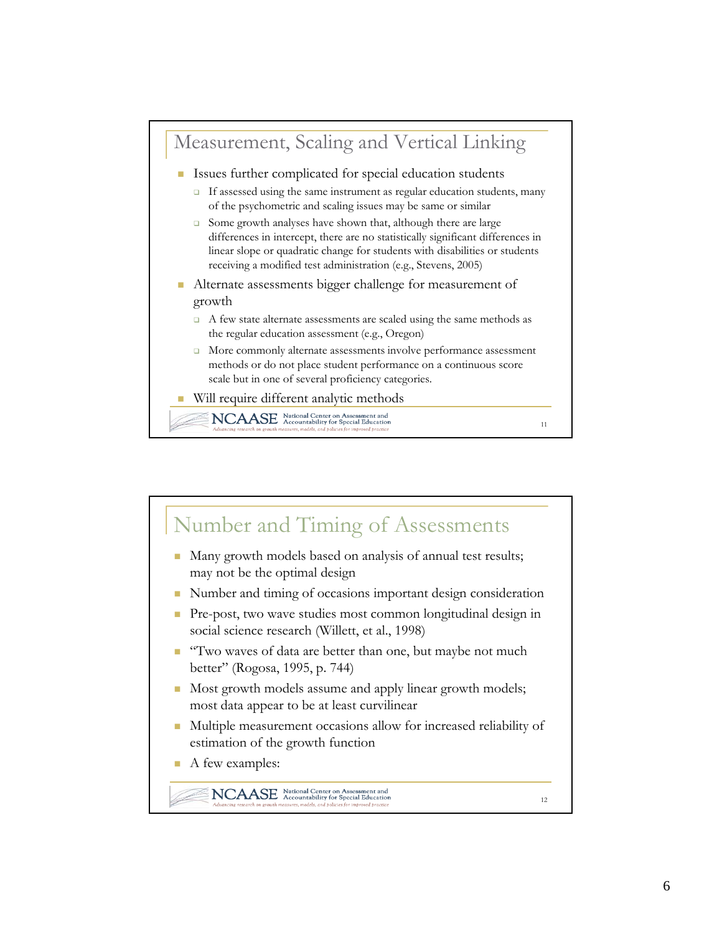

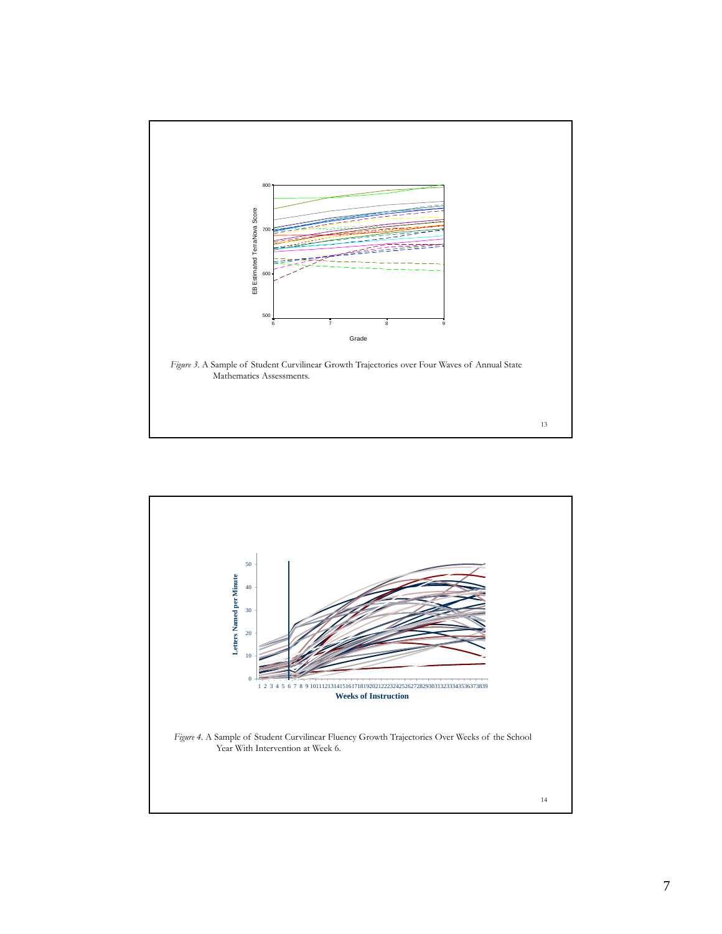

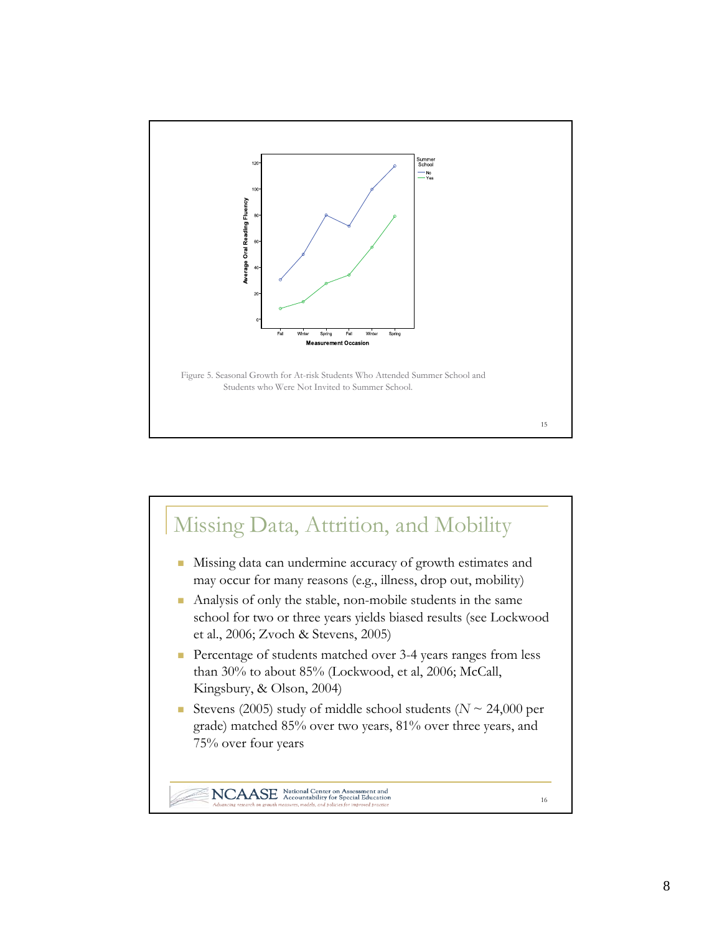

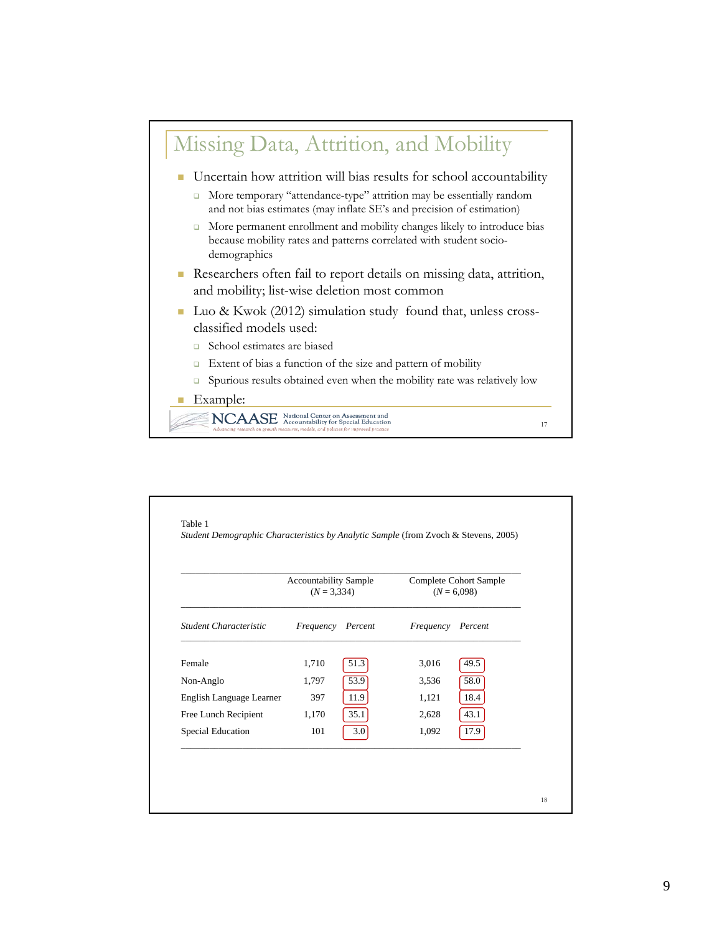

| Student Characteristic   | <b>Accountability Sample</b><br>$(N = 3,334)$ |      |           | <b>Complete Cohort Sample</b><br>$(N = 6,098)$ |
|--------------------------|-----------------------------------------------|------|-----------|------------------------------------------------|
|                          | Frequency Percent                             |      | Frequency | Percent                                        |
| Female                   | 1,710                                         | 51.3 | 3,016     | 49.5                                           |
| Non-Anglo                | 1,797                                         | 53.9 | 3,536     | 58.0                                           |
| English Language Learner | 397                                           | 11.9 | 1,121     | 18.4                                           |
| Free Lunch Recipient     | 1,170                                         | 35.1 | 2,628     | 43.1                                           |
| Special Education        | 101                                           | 3.0  | 1,092     | 17.9                                           |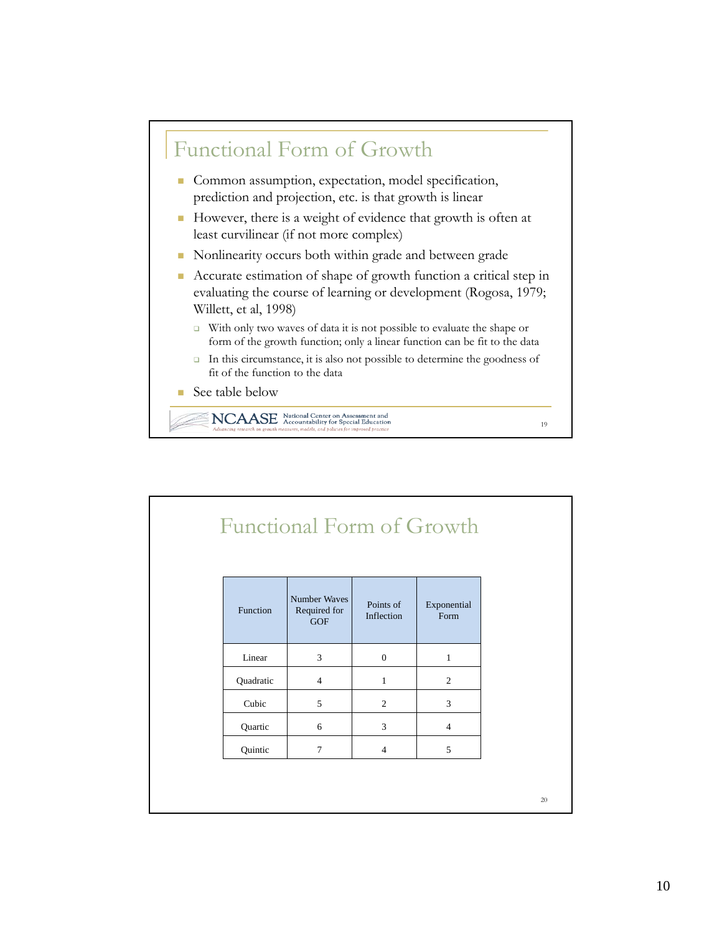

|           |                                            |                         | <b>Functional Form of Growth</b> |
|-----------|--------------------------------------------|-------------------------|----------------------------------|
| Function  | Number Waves<br>Required for<br><b>GOF</b> | Points of<br>Inflection | Exponential<br>Form              |
| Linear    | 3                                          | $\mathbf{0}$            | $\mathbf{1}$                     |
| Quadratic | $\overline{4}$                             | $\mathbf{1}$            | $\overline{c}$                   |
| Cubic     | 5                                          | 2                       | 3                                |
| Quartic   | 6                                          | 3                       | $\overline{4}$                   |
| Quintic   | $\tau$                                     | $\overline{4}$          | 5                                |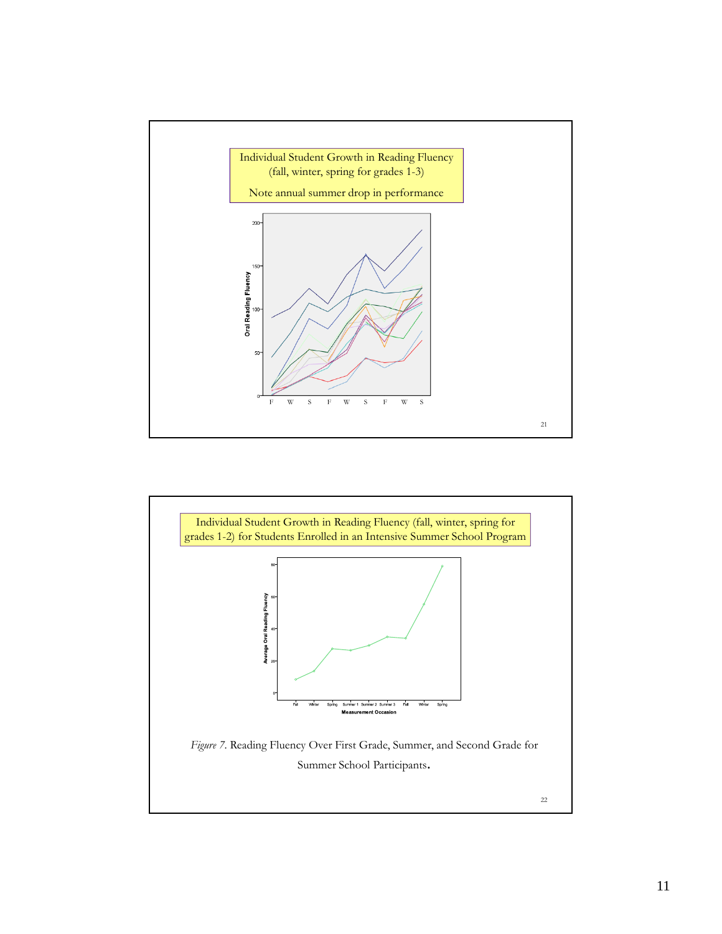

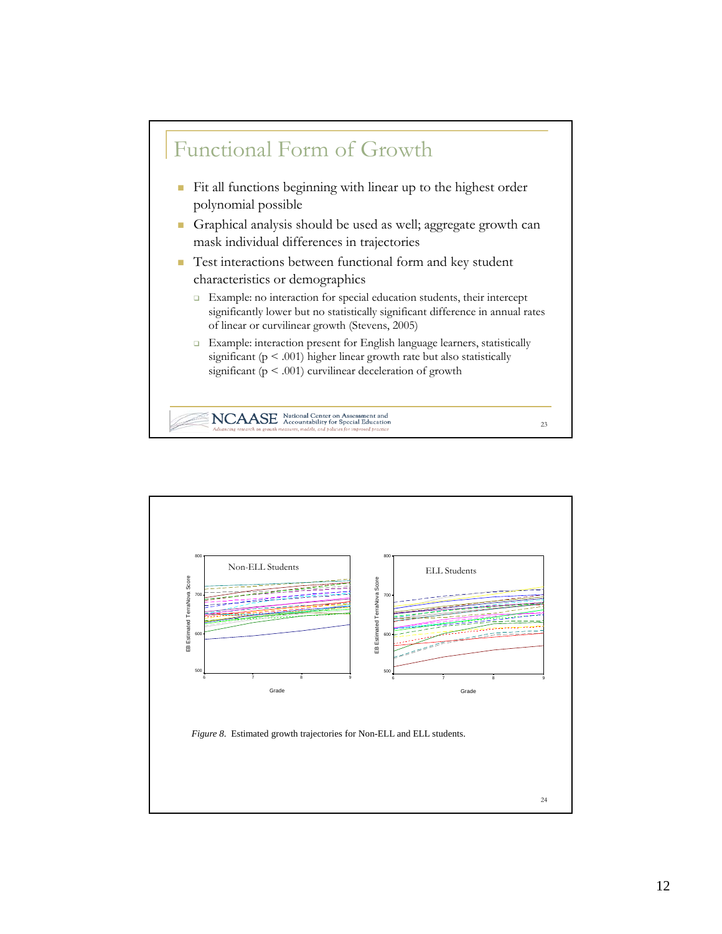

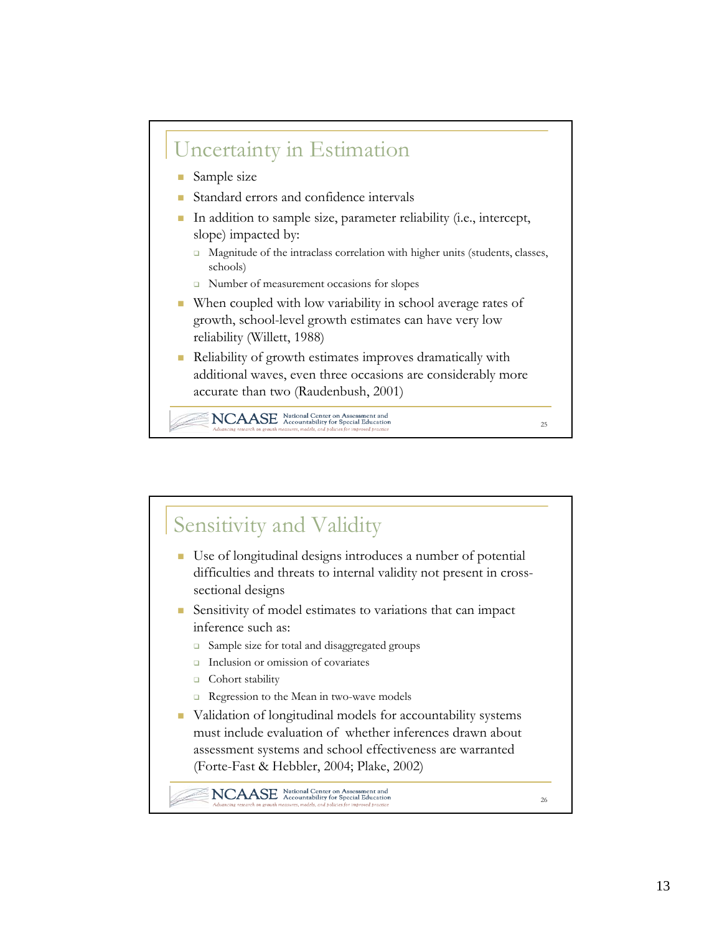

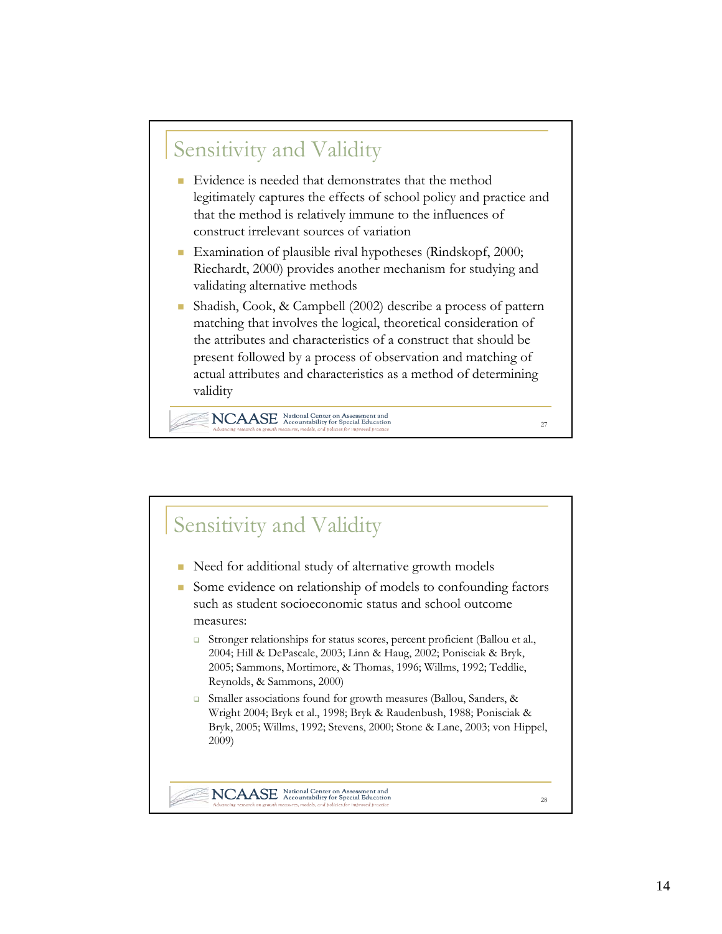# Sensitivity and Validity

- Evidence is needed that demonstrates that the method legitimately captures the effects of school policy and practice and that the method is relatively immune to the influences of construct irrelevant sources of variation
- **Examination of plausible rival hypotheses (Rindskopf, 2000;** Riechardt, 2000) provides another mechanism for studying and validating alternative methods
- Shadish, Cook, & Campbell (2002) describe a process of pattern matching that involves the logical, theoretical consideration of the attributes and characteristics of a construct that should be present followed by a process of observation and matching of actual attributes and characteristics as a method of determining validity

27